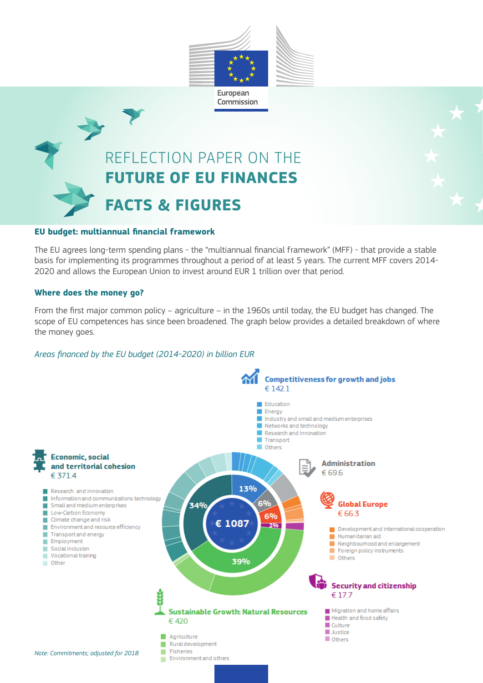

# REFLECTION PAPER ON THE **FUTURE OF EU FINANCES FACTS & FIGURES**

#### **EU budget: multiannual financial framework**

The EU agrees long-term spending plans - the "multiannual financial framework" (MFF) - that provide a stable basis for implementing its programmes throughout a period of at least 5 years. The current MFF covers 2014- 2020 and allows the European Union to invest around EUR 1 trillion over that period.

#### **Where does the money go?**

From the first major common policy – agriculture – in the 1960s until today, the EU budget has changed. The scope of EU competences has since been broadened. The graph below provides a detailed breakdown of where the money goes.

#### *Areas financed by the EU budget (2014-2020) in billion EUR*

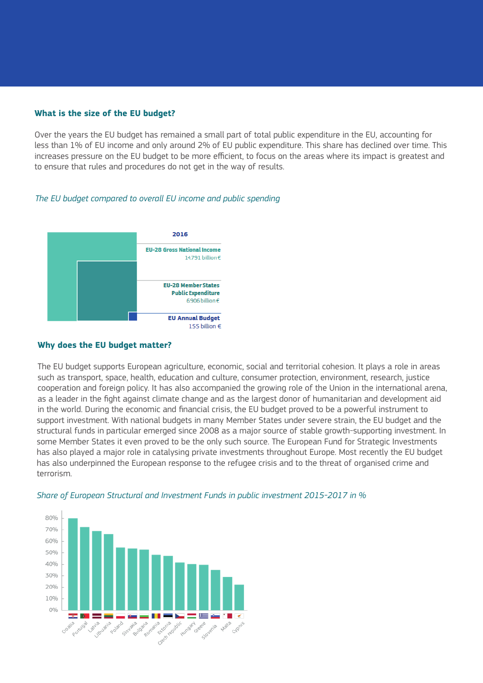### **What is the size of the EU budget?**

Over the years the EU budget has remained a small part of total public expenditure in the EU, accounting for less than 1% of EU income and only around 2% of EU public expenditure. This share has declined over time. This increases pressure on the EU budget to be more efficient, to focus on the areas where its impact is greatest and to ensure that rules and procedures do not get in the way of results.

## *The EU budget compared to overall EU income and public spending*



#### **Why does the EU budget matter?**

The EU budget supports European agriculture, economic, social and territorial cohesion. It plays a role in areas such as transport, space, health, education and culture, consumer protection, environment, research, justice cooperation and foreign policy. It has also accompanied the growing role of the Union in the international arena, as a leader in the fight against climate change and as the largest donor of humanitarian and development aid in the world. During the economic and financial crisis, the EU budget proved to be a powerful instrument to support investment. With national budgets in many Member States under severe strain, the EU budget and the structural funds in particular emerged since 2008 as a major source of stable growth-supporting investment. In some Member States it even proved to be the only such source. The European Fund for Strategic Investments has also played a major role in catalysing private investments throughout Europe. Most recently the EU budget has also underpinned the European response to the refugee crisis and to the threat of organised crime and terrorism.



#### *Share of European Structural and Investment Funds in public investment 2015-2017 in %*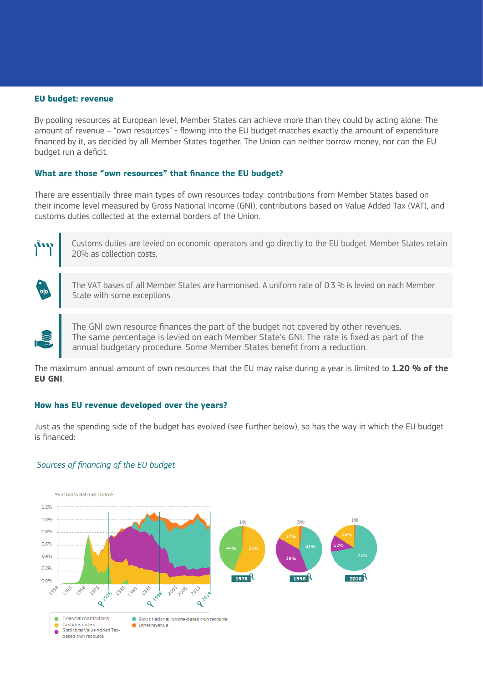#### **EU budget: revenue**

By pooling resources at European level, Member States can achieve more than they could by acting alone. The amount of revenue – "own resources" - flowing into the EU budget matches exactly the amount of expenditure financed by it, as decided by all Member States together. The Union can neither borrow money, nor can the EU budget run a deficit.

#### **What are those "own resources" that finance the EU budget?**

There are essentially three main types of own resources today: contributions from Member States based on their income level measured by Gross National Income (GNI), contributions based on Value Added Tax (VAT), and customs duties collected at the external borders of the Union.



Customs duties are levied on economic operators and go directly to the EU budget. Member States retain 20% as collection costs.

The VAT bases of all Member States are harmonised. A uniform rate of 0.3 % is levied on each Member State with some exceptions.

The GNI own resource finances the part of the budget not covered by other revenues. The same percentage is levied on each Member State's GNI. The rate is fixed as part of the annual budgetary procedure. Some Member States benefit from a reduction.

The maximum annual amount of own resources that the EU may raise during a year is limited to **1.20 % of the EU GNI**.

#### **How has EU revenue developed over the years?**

Just as the spending side of the budget has evolved (see further below), so has the way in which the EU budget is financed:

#### *Sources of financing of the EU budget*